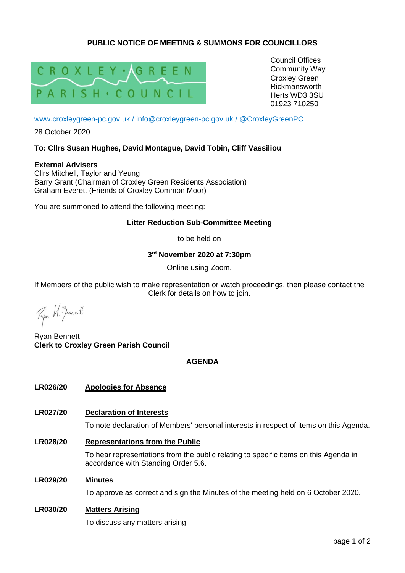# **PUBLIC NOTICE OF MEETING & SUMMONS FOR COUNCILLORS**



Council Offices Community Way Croxley Green Rickmansworth Herts WD3 3SU 01923 710250

[www.croxleygreen-pc.gov.uk](http://www.croxleygreen-pc.gov.uk/) / [info@croxleygreen-pc.gov.uk](mailto:info@croxleygreen-pc.gov.uk) / [@CroxleyGreenPC](https://twitter.com/CroxleyGreenPC)

28 October 2020

## **To: Cllrs Susan Hughes, David Montague, David Tobin, Cliff Vassiliou**

**External Advisers** Cllrs Mitchell, Taylor and Yeung Barry Grant (Chairman of Croxley Green Residents Association) Graham Everett (Friends of Croxley Common Moor)

You are summoned to attend the following meeting:

## **Litter Reduction Sub-Committee Meeting**

to be held on

**3 rd November 2020 at 7:30pm**

Online using Zoom.

If Members of the public wish to make representation or watch proceedings, then please contact the Clerk for details on how to join.

Fyon U. Benett

Ryan Bennett **Clerk to Croxley Green Parish Council**

## **AGENDA**

## **LR026/20 Apologies for Absence**

## **LR027/20 Declaration of Interests**

To note declaration of Members' personal interests in respect of items on this Agenda.

**LR028/20 Representations from the Public**

To hear representations from the public relating to specific items on this Agenda in accordance with Standing Order 5.6.

#### **LR029/20 Minutes**

To approve as correct and sign the Minutes of the meeting held on 6 October 2020.

## **LR030/20 Matters Arising**

To discuss any matters arising.